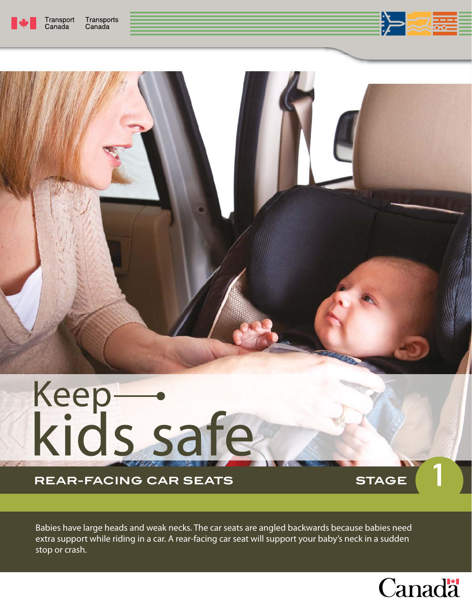



# REAR-FACING CAR SEATS **1989 STAGE**

Babies have large heads and weak necks. The car seats are angled backwards because babies need extra support while riding in a car. A rear-facing car seat will support your baby's neck in a sudden stop or crash.



1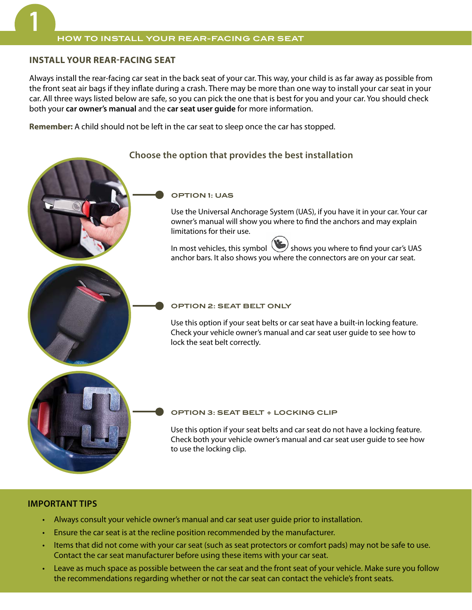# **INSTALL YOUR REARFACING SEAT**

Always install the rear-facing car seat in the back seat of your car. This way, your child is as far away as possible from the front seat air bags if they inflate during a crash. There may be more than one way to install your car seat in your car. All three ways listed below are safe, so you can pick the one that is best for you and your car. You should check both your **car owner's manual** and the **car seat user guide** for more information.

**Remember:** A child should not be left in the car seat to sleep once the car has stopped.

# **Choose the option that provides the best installation**

# **OPTION 1: UAS** Use the Universal Anchorage System (UAS), if you have it in your car. Your car owner's manual will show you where to find the anchors and may explain limitations for their use. In most vehicles, this symbol shows you where to find your car's UAS anchor bars. It also shows you where the connectors are on your car seat. **OPTION 2: SEAT BELT ONLY** Use this option if your seat belts or car seat have a built-in locking feature. Check your vehicle owner's manual and car seat user guide to see how to lock the seat belt correctly. **OPTION 3: SEAT BELT + LOCKING CLIP**  Use this option if your seat belts and car seat do not have a locking feature. Check both your vehicle owner's manual and car seat user guide to see how to use the locking clip.

# **IMPORTANT TIPS**

- Always consult your vehicle owner's manual and car seat user guide prior to installation.
- Ensure the car seat is at the recline position recommended by the manufacturer.
- Items that did not come with your car seat (such as seat protectors or comfort pads) may not be safe to use. Contact the car seat manufacturer before using these items with your car seat.
- Leave as much space as possible between the car seat and the front seat of your vehicle. Make sure you follow the recommendations regarding whether or not the car seat can contact the vehicle's front seats.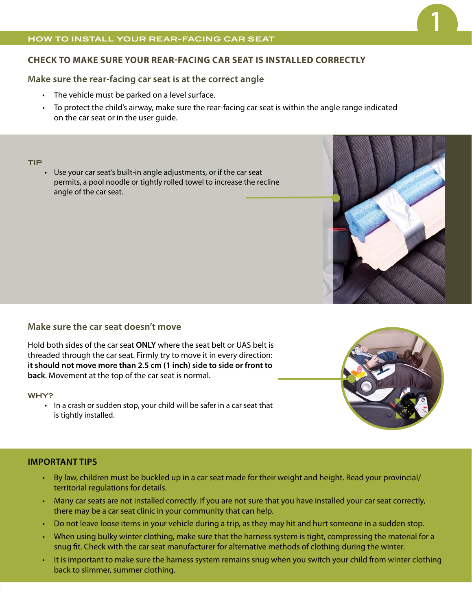## **HOW TO INSTALL YOUR REAR-FACING CAR SEAT**

# **CHECK TO MAKE SURE YOUR REARFACING CAR SEAT IS INSTALLED CORRECTLY**

# **Make sure the rear-facing car seat is at the correct angle**

- The vehicle must be parked on a level surface.
- To protect the child's airway, make sure the rear-facing car seat is within the angle range indicated on the car seat or in the user guide.

#### **TIP**

• Use your car seat's built-in angle adjustments, or if the car seat permits, a pool noodle or tightly rolled towel to increase the recline angle of the car seat.



# **Make sure the car seat doesn't move**

Hold both sides of the car seat **ONLY** where the seat belt or UAS belt is threaded through the car seat. Firmly try to move it in every direction: **it should not move more than 2.5 cm (1 inch) side to side or front to back**. Movement at the top of the car seat is normal.

#### **WHY?**

• In a crash or sudden stop, your child will be safer in a car seat that is tightly installed.

# **IMPORTANT TIPS**

- By law, children must be buckled up in a car seat made for their weight and height. Read your provincial/ territorial regulations for details.
- Many car seats are not installed correctly. If you are not sure that you have installed your car seat correctly, there may be a car seat clinic in your community that can help.
- Do not leave loose items in your vehicle during a trip, as they may hit and hurt someone in a sudden stop.
- When using bulky winter clothing, make sure that the harness system is tight, compressing the material for a snug fit. Check with the car seat manufacturer for alternative methods of clothing during the winter.
- It is important to make sure the harness system remains snug when you switch your child from winter clothing back to slimmer, summer clothing.